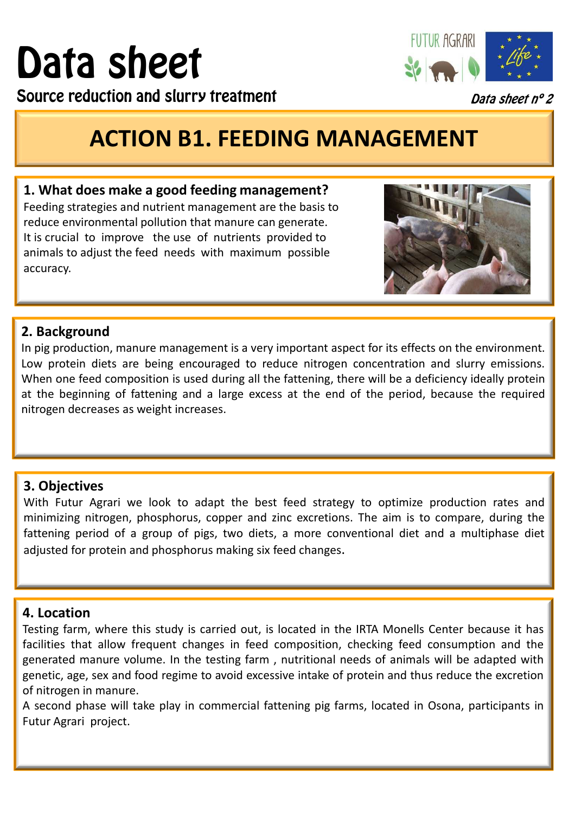# Data sheet

Source reduction and slurry treatment



Data sheet nº 2

## **ACTION B1. FEEDING MANAGEMENT**

#### **1. What does make a good feeding management?**

Feeding strategies and nutrient management are the basis to reduce environmental pollution that manure can generate. It is crucial to improve the use of nutrients provided to animals to adjust the feed needs with maximum possible accuracy.



### **2. Background**

In pig production, manure management is a very important aspect for its effects on the environment. Low protein diets are being encouraged to reduce nitrogen concentration and slurry emissions. When one feed composition is used during all the fattening, there will be a deficiency ideally protein at the beginning of fattening and a large excess at the end of the period, because the required nitrogen decreases as weight increases.

#### **3. Objectives**

With Futur Agrari we look to adapt the best feed strategy to optimize production rates and minimizing nitrogen, phosphorus, copper and zinc excretions. The aim is to compare, during the fattening period of a group of pigs, two diets, a more conventional diet and a multiphase diet adjusted for protein and phosphorus making six feed changes.

#### **4. Location**

Testing farm, where this study is carried out, is located in the IRTA Monells Center because it has facilities that allow frequent changes in feed composition, checking feed consumption and the generated manure volume. In the testing farm , nutritional needs of animals will be adapted with genetic, age, sex and food regime to avoid excessive intake of protein and thus reduce the excretion of nitrogen in manure.

A second phase will take play in commercial fattening pig farms, located in Osona, participants in Futur Agrari project.